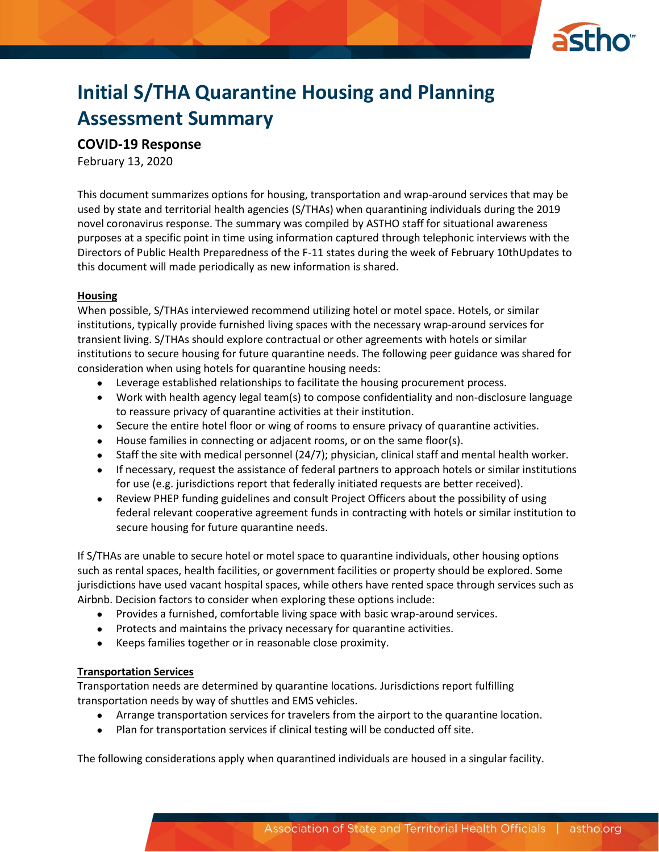

# **Initial S/THA Quarantine Housing and Planning Assessment Summary**

## **COVID-19 Response**

February 13, 2020

This document summarizes options for housing, transportation and wrap-around services that may be used by state and territorial health agencies (S/THAs) when quarantining individuals during the 2019 novel coronavirus response. The summary was compiled by ASTHO staff for situational awareness purposes at a specific point in time using information captured through telephonic interviews with the Directors of Public Health Preparedness of the F-11 states during the week of February 10thUpdates to this document will made periodically as new information is shared.

#### **Housing**

When possible, S/THAs interviewed recommend utilizing hotel or motel space. Hotels, or similar institutions, typically provide furnished living spaces with the necessary wrap-around services for transient living. S/THAs should explore contractual or other agreements with hotels or similar institutions to secure housing for future quarantine needs. The following peer guidance was shared for consideration when using hotels for quarantine housing needs:

- Leverage established relationships to facilitate the housing procurement process.
- Work with health agency legal team(s) to compose confidentiality and non-disclosure language to reassure privacy of quarantine activities at their institution.
- Secure the entire hotel floor or wing of rooms to ensure privacy of quarantine activities.
- House families in connecting or adjacent rooms, or on the same floor(s).
- Staff the site with medical personnel (24/7); physician, clinical staff and mental health worker.
- If necessary, request the assistance of federal partners to approach hotels or similar institutions for use (e.g. jurisdictions report that federally initiated requests are better received).
- Review PHEP funding guidelines and consult Project Officers about the possibility of using federal relevant cooperative agreement funds in contracting with hotels or similar institution to secure housing for future quarantine needs.

If S/THAs are unable to secure hotel or motel space to quarantine individuals, other housing options such as rental spaces, health facilities, or government facilities or property should be explored. Some jurisdictions have used vacant hospital spaces, while others have rented space through services such as Airbnb. Decision factors to consider when exploring these options include:

- Provides a furnished, comfortable living space with basic wrap-around services.
- Protects and maintains the privacy necessary for quarantine activities.
- Keeps families together or in reasonable close proximity.

#### **Transportation Services**

Transportation needs are determined by quarantine locations. Jurisdictions report fulfilling transportation needs by way of shuttles and EMS vehicles.

- Arrange transportation services for travelers from the airport to the quarantine location.
- Plan for transportation services if clinical testing will be conducted off site.

The following considerations apply when quarantined individuals are housed in a singular facility.